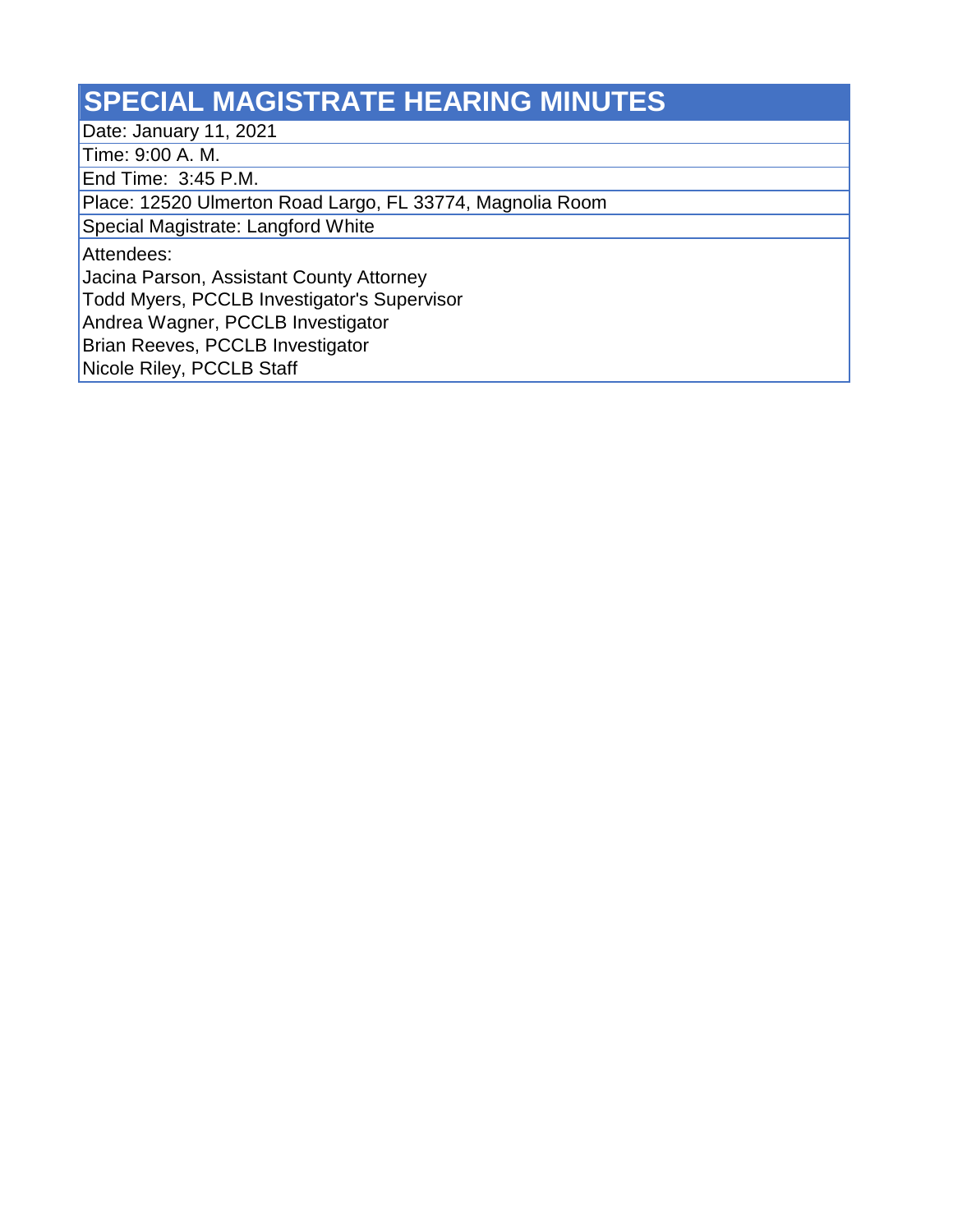## **SPECIAL MAGISTRATE HEARING MINUTES**

Date: January 11, 2021

Time: 9:00 A. M.

End Time: 3:45 P.M.

Place: 12520 Ulmerton Road Largo, FL 33774, Magnolia Room

Special Magistrate: Langford White

Attendees:

Jacina Parson, Assistant County Attorney

Todd Myers, PCCLB Investigator's Supervisor

Andrea Wagner, PCCLB Investigator

Brian Reeves, PCCLB Investigator

Nicole Riley, PCCLB Staff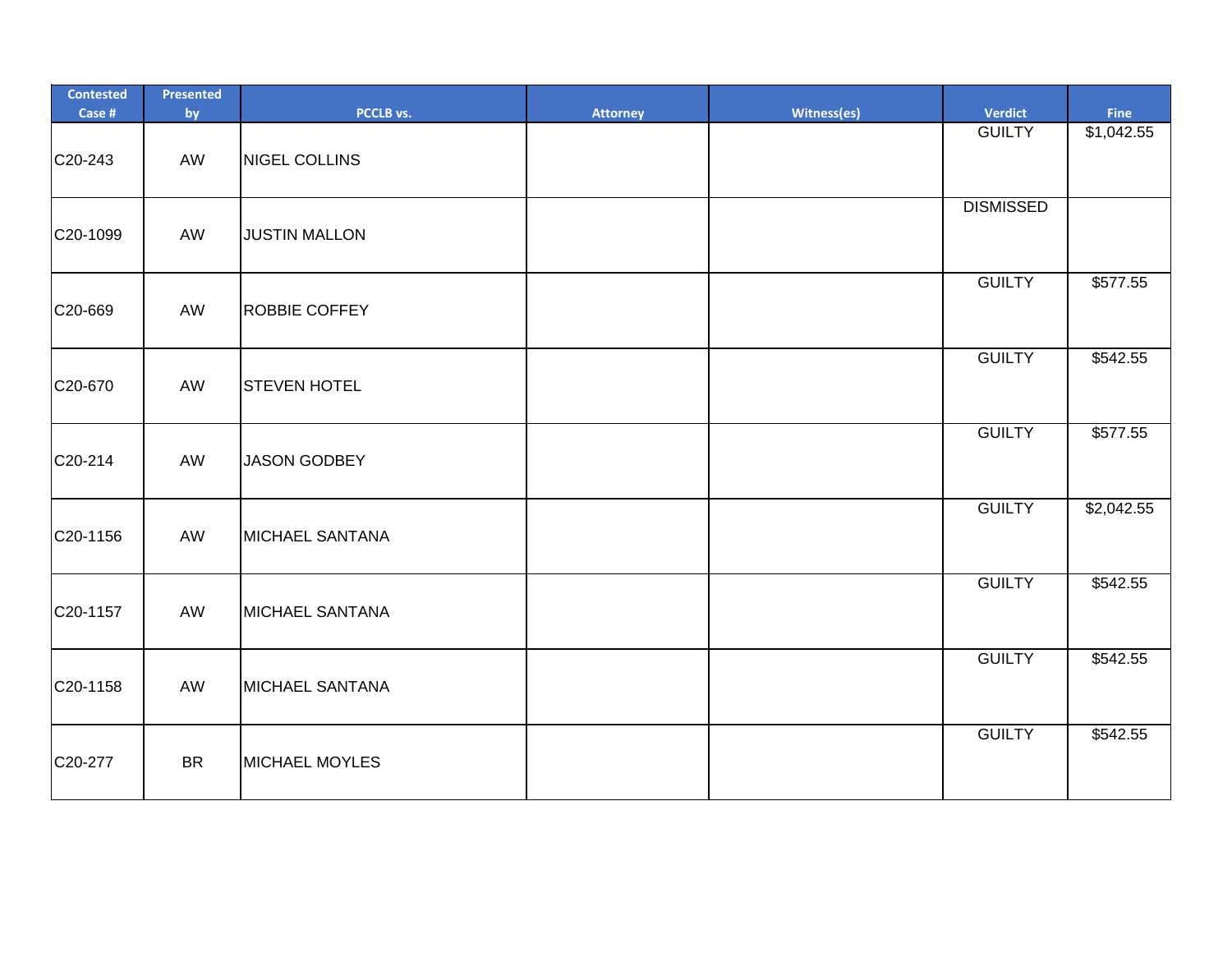| <b>Contested</b><br>Case # | Presented<br>by | PCCLB vs.              | <b>Attorney</b> | Witness(es) | <b>Verdict</b>   | Fine       |
|----------------------------|-----------------|------------------------|-----------------|-------------|------------------|------------|
| C20-243                    | AW              | NIGEL COLLINS          |                 |             | <b>GUILTY</b>    | \$1,042.55 |
| C20-1099                   | AW              | <b>JUSTIN MALLON</b>   |                 |             | <b>DISMISSED</b> |            |
| C20-669                    | AW              | <b>ROBBIE COFFEY</b>   |                 |             | <b>GUILTY</b>    | \$577.55   |
| C20-670                    | AW              | <b>STEVEN HOTEL</b>    |                 |             | <b>GUILTY</b>    | \$542.55   |
| C20-214                    | AW              | <b>JASON GODBEY</b>    |                 |             | <b>GUILTY</b>    | \$577.55   |
| C20-1156                   | AW              | <b>MICHAEL SANTANA</b> |                 |             | <b>GUILTY</b>    | \$2,042.55 |
| C20-1157                   | AW              | <b>MICHAEL SANTANA</b> |                 |             | <b>GUILTY</b>    | \$542.55   |
| C20-1158                   | AW              | <b>MICHAEL SANTANA</b> |                 |             | <b>GUILTY</b>    | \$542.55   |
| C20-277                    | <b>BR</b>       | <b>MICHAEL MOYLES</b>  |                 |             | <b>GUILTY</b>    | \$542.55   |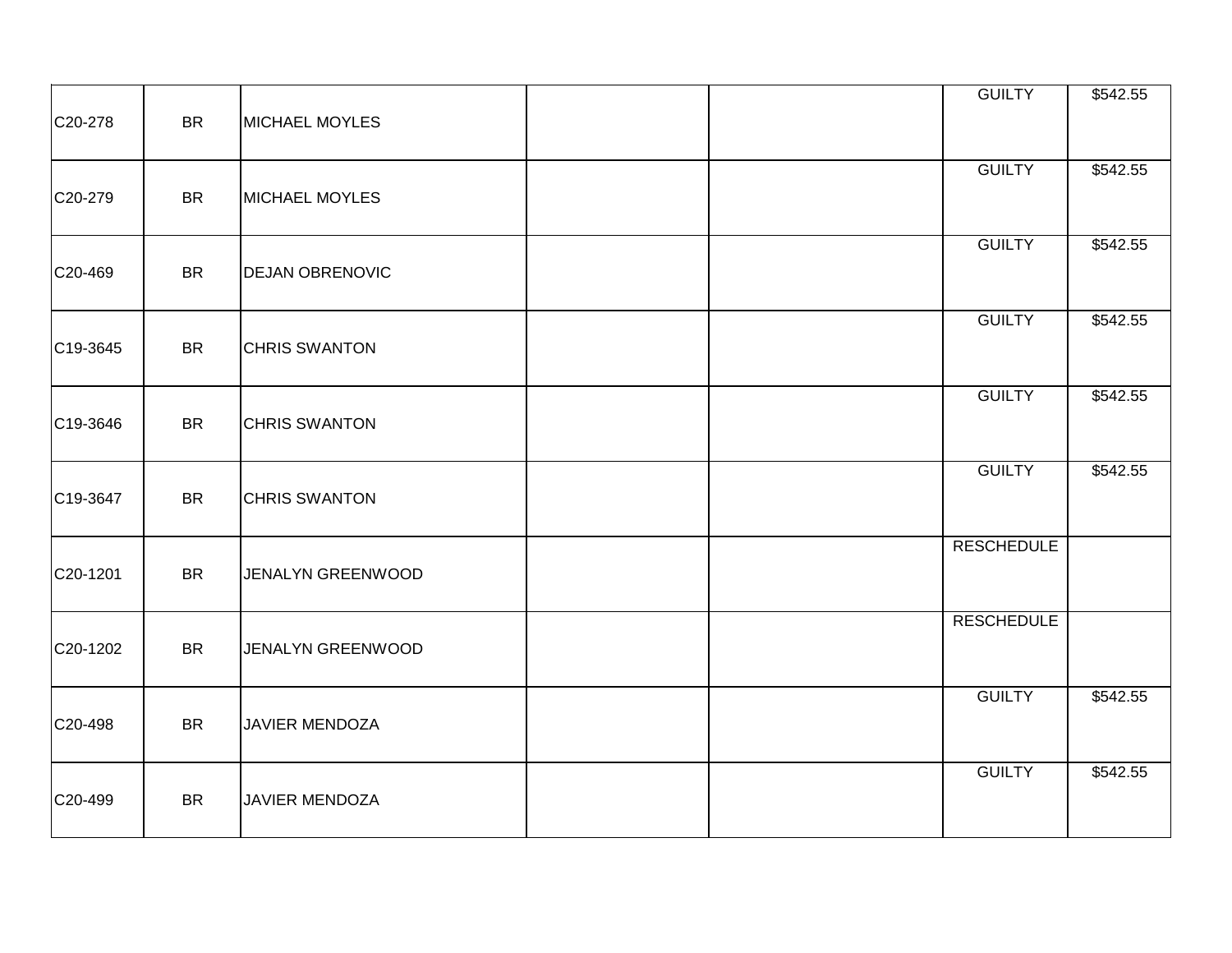| C20-278  | <b>BR</b> | <b>MICHAEL MOYLES</b>  |  | <b>GUILTY</b>     | \$542.55 |
|----------|-----------|------------------------|--|-------------------|----------|
| C20-279  | <b>BR</b> | <b>MICHAEL MOYLES</b>  |  | <b>GUILTY</b>     | \$542.55 |
| C20-469  | <b>BR</b> | <b>DEJAN OBRENOVIC</b> |  | <b>GUILTY</b>     | \$542.55 |
| C19-3645 | <b>BR</b> | <b>CHRIS SWANTON</b>   |  | <b>GUILTY</b>     | \$542.55 |
| C19-3646 | <b>BR</b> | <b>CHRIS SWANTON</b>   |  | <b>GUILTY</b>     | \$542.55 |
| C19-3647 | <b>BR</b> | <b>CHRIS SWANTON</b>   |  | <b>GUILTY</b>     | \$542.55 |
| C20-1201 | <b>BR</b> | JENALYN GREENWOOD      |  | <b>RESCHEDULE</b> |          |
| C20-1202 | <b>BR</b> | JENALYN GREENWOOD      |  | <b>RESCHEDULE</b> |          |
| C20-498  | <b>BR</b> | <b>JAVIER MENDOZA</b>  |  | <b>GUILTY</b>     | \$542.55 |
| C20-499  | <b>BR</b> | JAVIER MENDOZA         |  | <b>GUILTY</b>     | \$542.55 |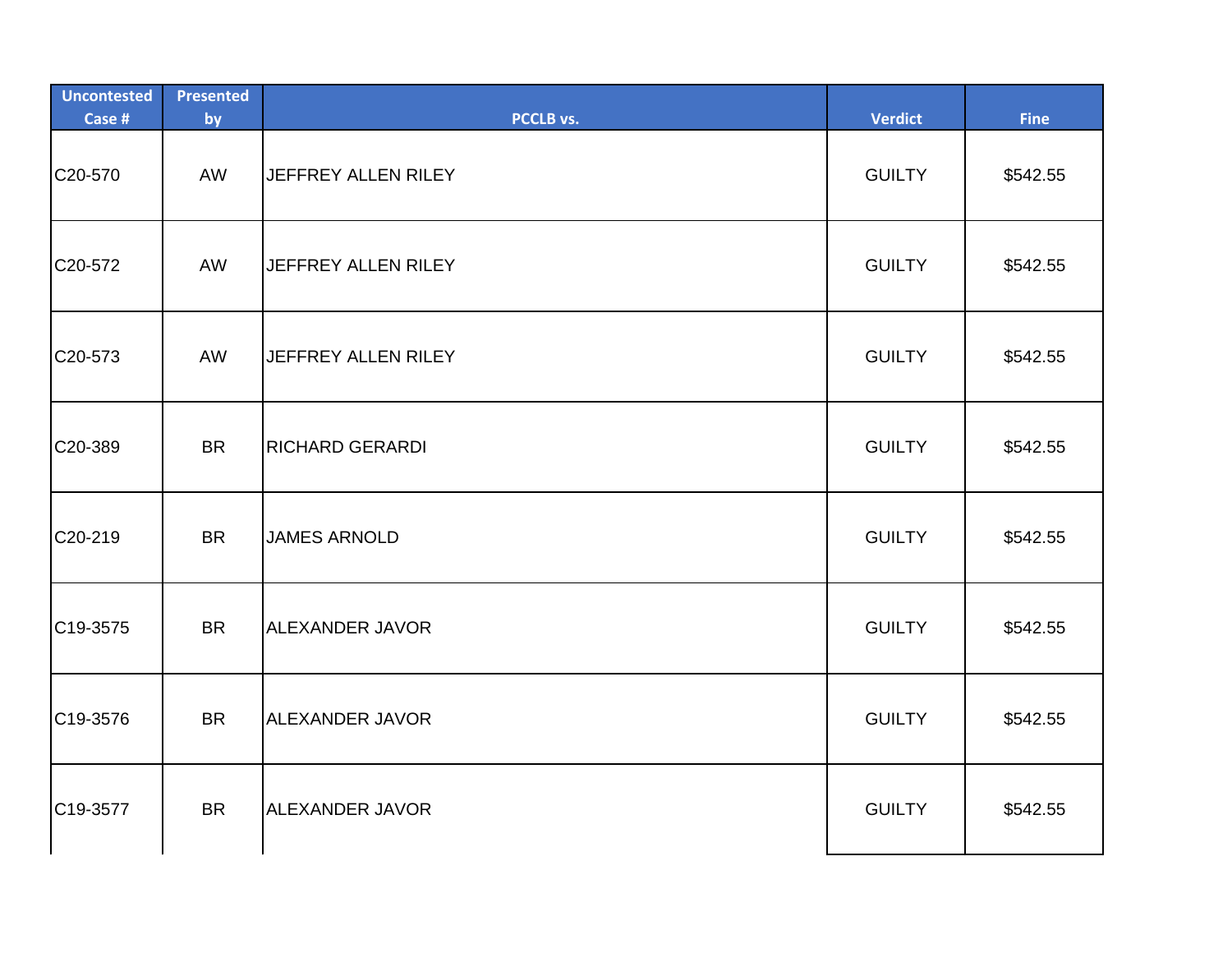| <b>Uncontested</b><br>Case # | <b>Presented</b><br>by | PCCLB vs.                  | <b>Verdict</b> | <b>Fine</b> |
|------------------------------|------------------------|----------------------------|----------------|-------------|
| C20-570                      | AW                     | JEFFREY ALLEN RILEY        | <b>GUILTY</b>  | \$542.55    |
| C20-572                      | AW                     | JEFFREY ALLEN RILEY        | <b>GUILTY</b>  | \$542.55    |
| C <sub>20</sub> -573         | AW                     | <b>JEFFREY ALLEN RILEY</b> | <b>GUILTY</b>  | \$542.55    |
| C20-389                      | <b>BR</b>              | <b>RICHARD GERARDI</b>     | <b>GUILTY</b>  | \$542.55    |
| C20-219                      | <b>BR</b>              | <b>JAMES ARNOLD</b>        | <b>GUILTY</b>  | \$542.55    |
| C19-3575                     | <b>BR</b>              | <b>ALEXANDER JAVOR</b>     | <b>GUILTY</b>  | \$542.55    |
| C19-3576                     | <b>BR</b>              | <b>ALEXANDER JAVOR</b>     | <b>GUILTY</b>  | \$542.55    |
| C19-3577                     | <b>BR</b>              | <b>ALEXANDER JAVOR</b>     | <b>GUILTY</b>  | \$542.55    |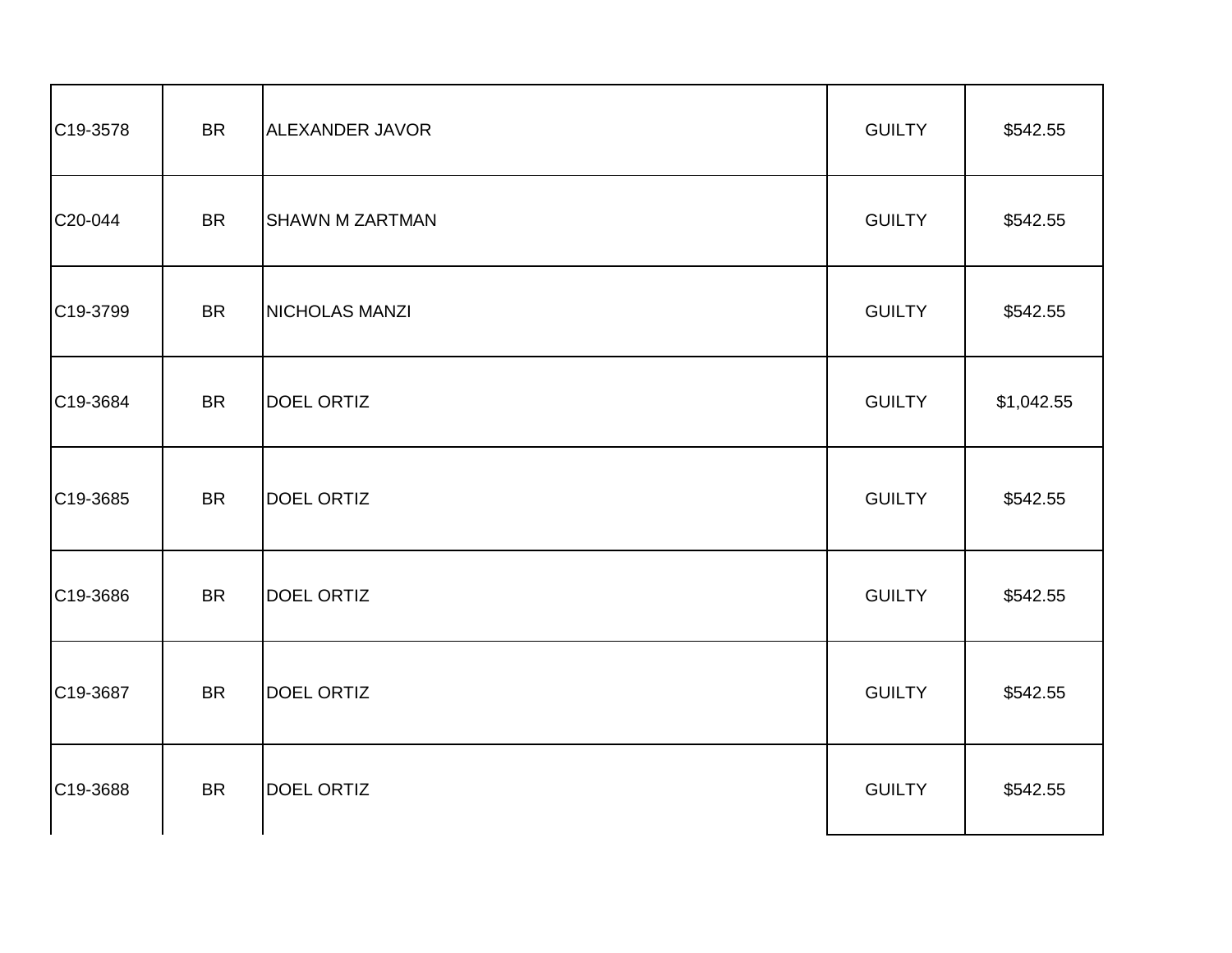| C19-3578 | <b>BR</b> | ALEXANDER JAVOR        | <b>GUILTY</b> | \$542.55   |
|----------|-----------|------------------------|---------------|------------|
| C20-044  | <b>BR</b> | <b>SHAWN M ZARTMAN</b> | <b>GUILTY</b> | \$542.55   |
| C19-3799 | <b>BR</b> | NICHOLAS MANZI         | <b>GUILTY</b> | \$542.55   |
| C19-3684 | <b>BR</b> | <b>DOEL ORTIZ</b>      | <b>GUILTY</b> | \$1,042.55 |
| C19-3685 | <b>BR</b> | <b>DOEL ORTIZ</b>      | <b>GUILTY</b> | \$542.55   |
| C19-3686 | <b>BR</b> | <b>DOEL ORTIZ</b>      | <b>GUILTY</b> | \$542.55   |
| C19-3687 | <b>BR</b> | <b>DOEL ORTIZ</b>      | <b>GUILTY</b> | \$542.55   |
| C19-3688 | <b>BR</b> | <b>DOEL ORTIZ</b>      | <b>GUILTY</b> | \$542.55   |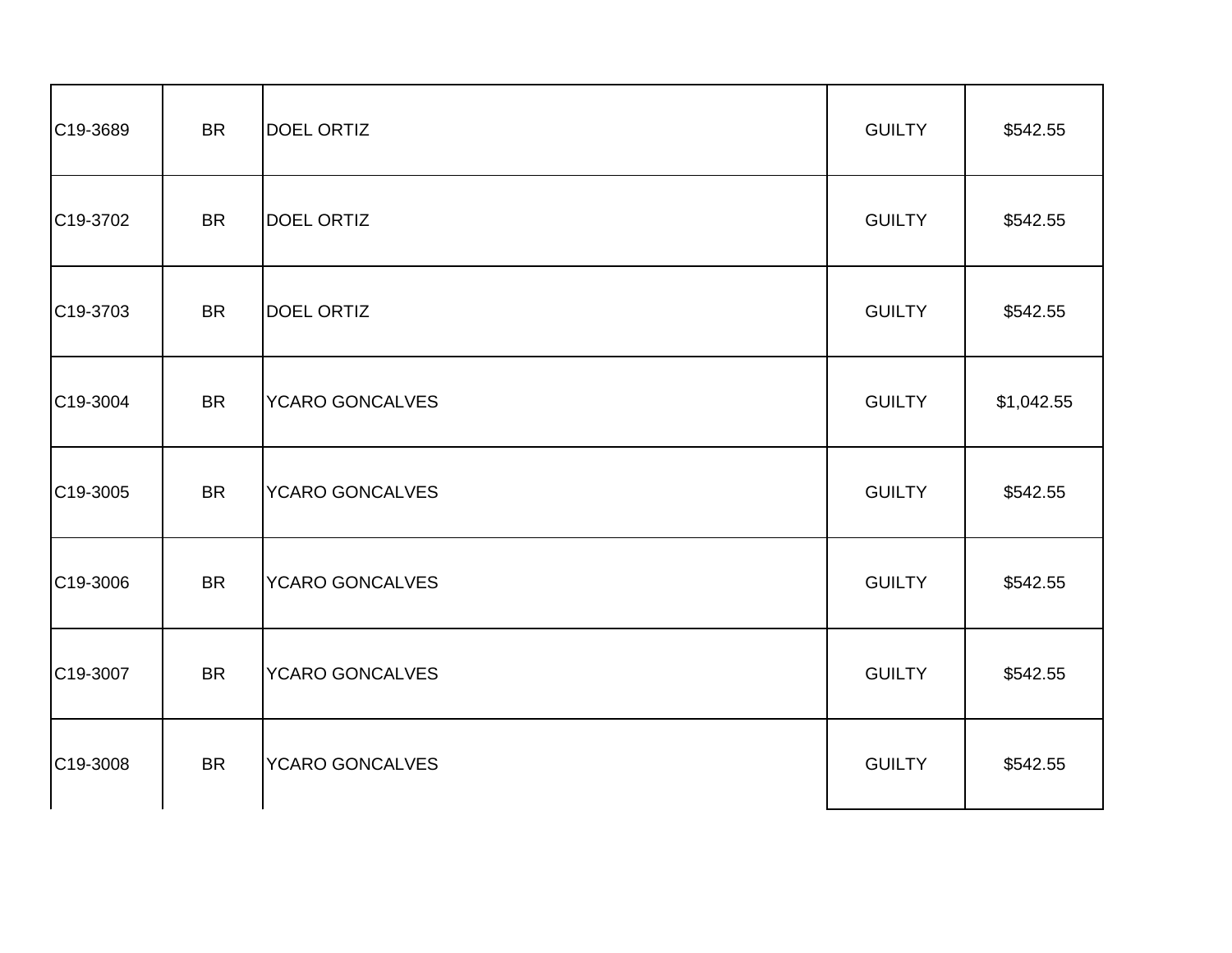| C19-3689              | <b>BR</b> | DOEL ORTIZ             | <b>GUILTY</b> | \$542.55   |
|-----------------------|-----------|------------------------|---------------|------------|
| C19-3702              | <b>BR</b> | <b>DOEL ORTIZ</b>      | <b>GUILTY</b> | \$542.55   |
| C19-3703              | <b>BR</b> | <b>DOEL ORTIZ</b>      | <b>GUILTY</b> | \$542.55   |
| C19-3004              | <b>BR</b> | <b>YCARO GONCALVES</b> | <b>GUILTY</b> | \$1,042.55 |
| C <sub>19</sub> -3005 | <b>BR</b> | <b>YCARO GONCALVES</b> | <b>GUILTY</b> | \$542.55   |
| C19-3006              | <b>BR</b> | <b>YCARO GONCALVES</b> | <b>GUILTY</b> | \$542.55   |
| C19-3007              | <b>BR</b> | <b>YCARO GONCALVES</b> | <b>GUILTY</b> | \$542.55   |
| C19-3008              | <b>BR</b> | <b>YCARO GONCALVES</b> | <b>GUILTY</b> | \$542.55   |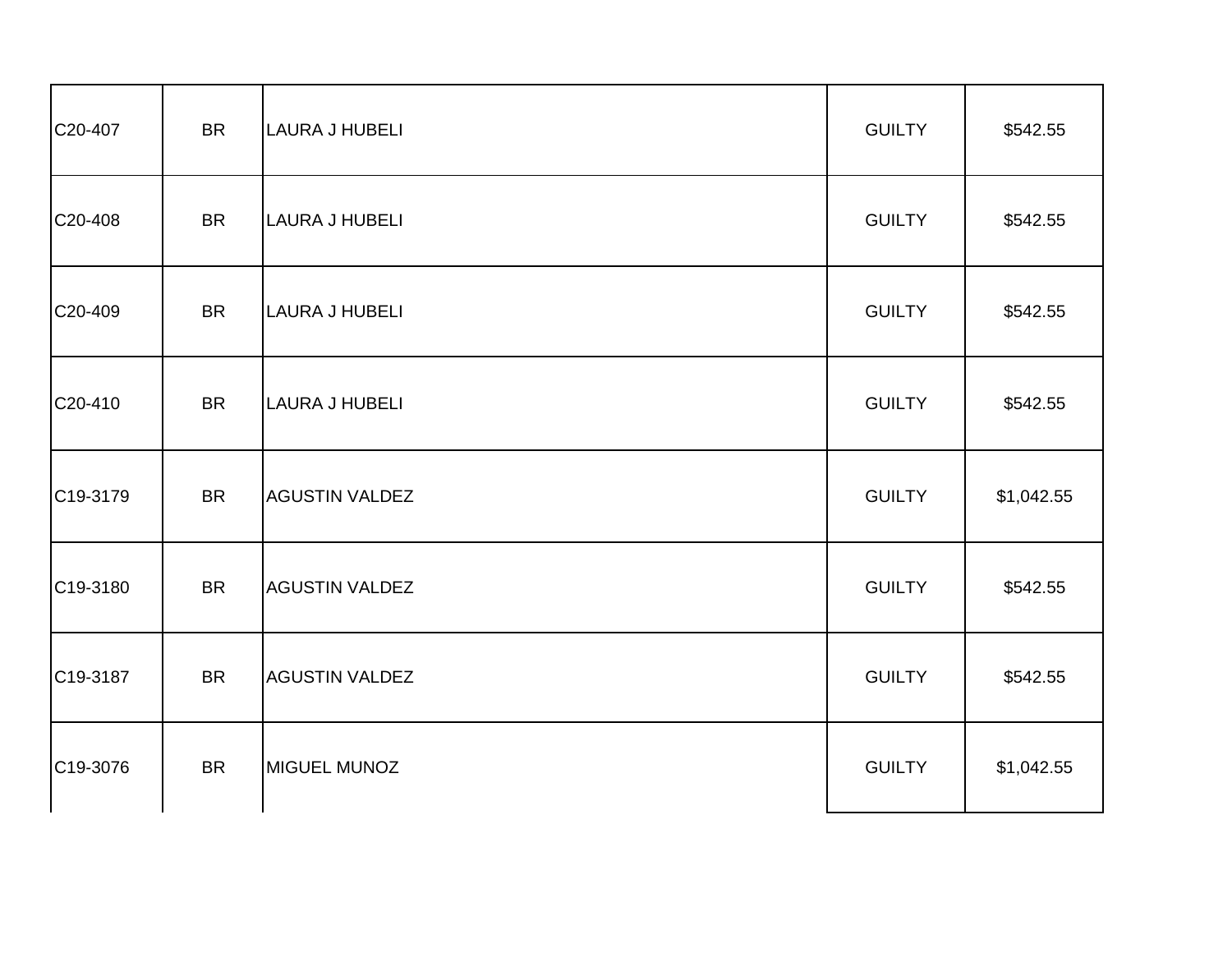| C20-407               | <b>BR</b> | LAURA J HUBELI        | <b>GUILTY</b> | \$542.55   |
|-----------------------|-----------|-----------------------|---------------|------------|
| C20-408               | <b>BR</b> | <b>LAURA J HUBELI</b> | <b>GUILTY</b> | \$542.55   |
| C20-409               | <b>BR</b> | LAURA J HUBELI        | <b>GUILTY</b> | \$542.55   |
| C20-410               | <b>BR</b> | <b>LAURA J HUBELI</b> | <b>GUILTY</b> | \$542.55   |
| C19-3179              | <b>BR</b> | <b>AGUSTIN VALDEZ</b> | <b>GUILTY</b> | \$1,042.55 |
| C19-3180              | <b>BR</b> | <b>AGUSTIN VALDEZ</b> | <b>GUILTY</b> | \$542.55   |
| C19-3187              | <b>BR</b> | <b>AGUSTIN VALDEZ</b> | <b>GUILTY</b> | \$542.55   |
| C <sub>19</sub> -3076 | <b>BR</b> | MIGUEL MUNOZ          | <b>GUILTY</b> | \$1,042.55 |